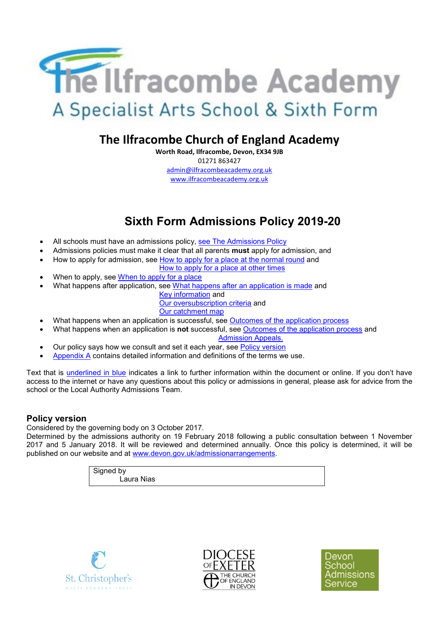

# **The Ilfracombe Church of England Academy**

**Worth Road, Ilfracombe, Devon, EX34 9JB** 01271 863427 admin@ilfracombeacademy.org.uk www.ilfracombeacademy.org.uk

# **Sixth Form Admissions Policy 2019-20**

- All schools must have an admissions policy, [see The Admissions Policy](#page-2-0)
- Admissions policies must make it clear that all parents **must** apply for admission, and
- How to apply for admission, see [How to apply for a place at the normal round](#page-2-1) and
	- [How to apply for a place at other times](#page-3-0)
- When to apply, see [When to apply for a place](#page-3-0)
- What happens after application, see [What happens after an application is made](#page-3-1) and
	- [Key information](#page-1-0) and
	- [Our oversubscription criteria](#page-1-1) and

[Our catchment map](#page-1-2)

- What happens when an application is successful, see [Outcomes of the application process](#page-3-2)
- What happens when an application is **not** successful, see [Outcomes of the application process](#page-3-2) and

[Admission Appeals.](#page-3-3)

- Our policy says how we consult and set it each year, see [Policy version](#page-0-0)
- [Appendix A](#page-3-4) contains detailed information and definitions of the terms we use.

Text that is underlined in blue indicates a link to further information within the document or online. If you don't have access to the internet or have any questions about this policy or admissions in general, please ask for advice from the school or the Local Authority Admissions Team.

# <span id="page-0-0"></span>**Policy version**

Considered by the governing body on 3 October 2017.

Determined by the admissions authority on 19 February 2018 following a public consultation between 1 November 2017 and 5 January 2018. It will be reviewed and determined annually. Once this policy is determined, it will be published on our website and at [www.devon.gov.uk/admissionarrangements.](http://www.devon.gov.uk/admissionarrangements)

> Signed by Laura Nias





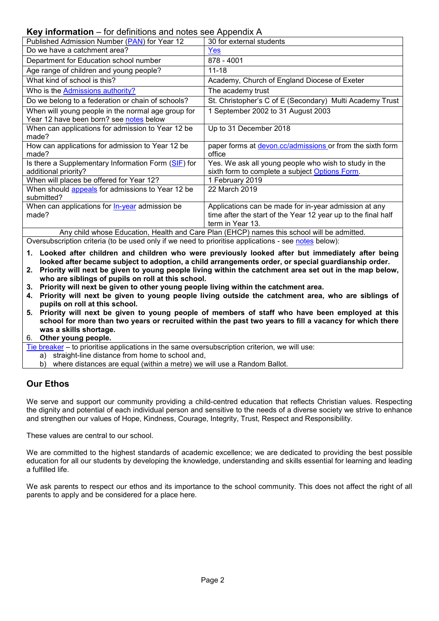#### <span id="page-1-0"></span>**Key information** – for definitions and notes see Appendix A

| $R_{\rm UV}$ intermation – for definitions and notes see Appendix A                           |                                                                                                                                            |  |  |  |
|-----------------------------------------------------------------------------------------------|--------------------------------------------------------------------------------------------------------------------------------------------|--|--|--|
| Published Admission Number (PAN) for Year 12                                                  | 30 for external students                                                                                                                   |  |  |  |
| Do we have a catchment area?                                                                  | Yes                                                                                                                                        |  |  |  |
| Department for Education school number                                                        | 878 - 4001                                                                                                                                 |  |  |  |
| Age range of children and young people?                                                       | $11 - 18$                                                                                                                                  |  |  |  |
| What kind of school is this?                                                                  | Academy, Church of England Diocese of Exeter                                                                                               |  |  |  |
| Who is the Admissions authority?                                                              | The academy trust                                                                                                                          |  |  |  |
| Do we belong to a federation or chain of schools?                                             | St. Christopher's C of E (Secondary) Multi Academy Trust                                                                                   |  |  |  |
| When will young people in the normal age group for<br>Year 12 have been born? see notes below | 1 September 2002 to 31 August 2003                                                                                                         |  |  |  |
| When can applications for admission to Year 12 be<br>made?                                    | Up to 31 December 2018                                                                                                                     |  |  |  |
| How can applications for admission to Year 12 be<br>made?                                     | paper forms at devon.cc/admissions or from the sixth form<br>office                                                                        |  |  |  |
| Is there a Supplementary Information Form (SIF) for<br>additional priority?                   | Yes. We ask all young people who wish to study in the<br>sixth form to complete a subject Options Form.                                    |  |  |  |
| When will places be offered for Year 12?                                                      | 1 February 2019                                                                                                                            |  |  |  |
| When should appeals for admissions to Year 12 be<br>submitted?                                | 22 March 2019                                                                                                                              |  |  |  |
| When can applications for <b>In-year</b> admission be<br>made?                                | Applications can be made for in-year admission at any<br>time after the start of the Year 12 year up to the final half<br>term in Year 13. |  |  |  |
| Any child whose Education, Health and Care Plan (EHCP) names this school will be admitted.    |                                                                                                                                            |  |  |  |

<span id="page-1-1"></span>Oversubscription criteria (to be used only if we need to prioritise applications - see [notes](#page-7-0) below):

- **1. Looked after children and children who were previously looked after but immediately after being looked after became subject to adoption, a child arrangements order, or special guardianship order.**
- **2. Priority will next be given to young people living within the catchment area set out in the map below, who are siblings of pupils on roll at this school.**
- **3. Priority will next be given to other young people living within the catchment area.**
- **4. Priority will next be given to young people living outside the catchment area, who are siblings of pupils on roll at this school.**
- **5. Priority will next be given to young people of members of staff who have been employed at this school for more than two years or recruited within the past two years to fill a vacancy for which there was a skills shortage.**

#### 6. **Other young people.**

- [Tie breaker](#page-8-2) to prioritise applications in the same oversubscription criterion, we will use:
	- a) straight-line distance from home to school and,
	- b) where distances are equal (within a metre) we will use a Random Ballot.

# **Our Ethos**

We serve and support our community providing a child-centred education that reflects Christian values. Respecting the dignity and potential of each individual person and sensitive to the needs of a diverse society we strive to enhance and strengthen our values of Hope, Kindness, Courage, Integrity, Trust, Respect and Responsibility.

These values are central to our school.

We are committed to the highest standards of academic excellence; we are dedicated to providing the best possible education for all our students by developing the knowledge, understanding and skills essential for learning and leading a fulfilled life.

<span id="page-1-2"></span>We ask parents to respect our ethos and its importance to the school community. This does not affect the right of all parents to apply and be considered for a place here.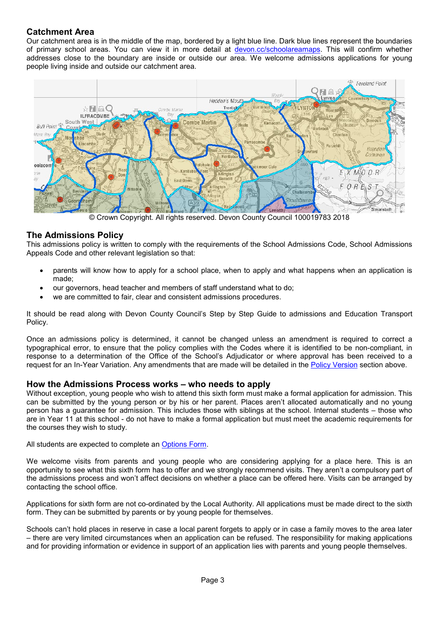# **Catchment Area**

Our catchment area is in the middle of the map, bordered by a light blue line. Dark blue lines represent the boundaries of primary school areas. You can view it in more detail at [devon.cc/schoolareamaps.](http://devon.cc/schoolareamaps) This will confirm whether addresses close to the boundary are inside or outside our area. We welcome admissions applications for young people living inside and outside our catchment area.



<span id="page-2-0"></span>© Crown Copyright. All rights reserved. Devon County Council 100019783 2018

#### **The Admissions Policy**

This admissions policy is written to comply with the requirements of the School Admissions Code, School Admissions Appeals Code and other relevant legislation so that:

- parents will know how to apply for a school place, when to apply and what happens when an application is made;
- our governors, head teacher and members of staff understand what to do;
- we are committed to fair, clear and consistent admissions procedures.

It should be read along with Devon County Council's Step by Step Guide to admissions and Education Transport Policy.

Once an admissions policy is determined, it cannot be changed unless an amendment is required to correct a typographical error, to ensure that the policy complies with the Codes where it is identified to be non-compliant, in response to a determination of the Office of the School's Adjudicator or where approval has been received to a request for an In-Year Variation. Any amendments that are made will be detailed in the [Policy Version](#page-0-0) section above.

#### **How the Admissions Process works – who needs to apply**

Without exception, young people who wish to attend this sixth form must make a formal application for admission. This can be submitted by the young person or by his or her parent. Places aren't allocated automatically and no young person has a guarantee for admission. This includes those with siblings at the school. Internal students – those who are in Year 11 at this school - do not have to make a formal application but must meet the academic requirements for the courses they wish to study.

All students are expected to complete an [Options Form.](#page-10-0)

We welcome visits from parents and young people who are considering applying for a place here. This is an opportunity to see what this sixth form has to offer and we strongly recommend visits. They aren't a compulsory part of the admissions process and won't affect decisions on whether a place can be offered here. Visits can be arranged by contacting the school office.

Applications for sixth form are not co-ordinated by the Local Authority. All applications must be made direct to the sixth form. They can be submitted by parents or by young people for themselves.

<span id="page-2-1"></span>Schools can't hold places in reserve in case a local parent forgets to apply or in case a family moves to the area later – there are very limited circumstances when an application can be refused. The responsibility for making applications and for providing information or evidence in support of an application lies with parents and young people themselves.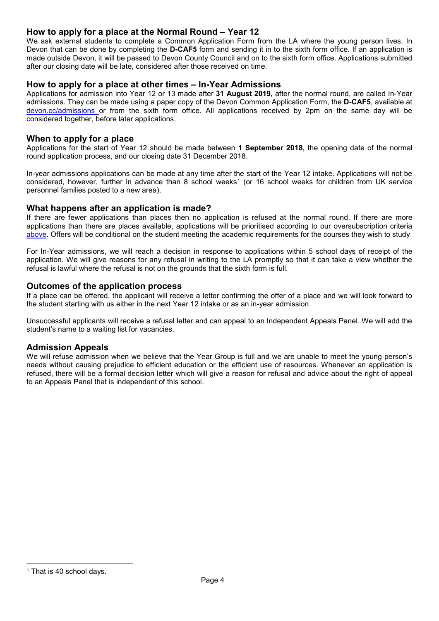#### **How to apply for a place at the Normal Round – Year 12**

We ask external students to complete a Common Application Form from the LA where the young person lives. In Devon that can be done by completing the **D-CAF5** form and sending it in to the sixth form office. If an application is made outside Devon, it will be passed to Devon County Council and on to the sixth form office. Applications submitted after our closing date will be late, considered after those received on time.

#### <span id="page-3-0"></span>**How to apply for a place at other times – In-Year Admissions**

Applications for admission into Year 12 or 13 made after **31 August 2019,** after the normal round, are called In-Year admissions. They can be made using a paper copy of the Devon Common Application Form, the **D-CAF5**, available at [devon.cc/admissions](http://devon.cc/admissions) or from the sixth form office. All applications received by 2pm on the same day will be considered together, before later applications.

#### **When to apply for a place**

Applications for the start of Year 12 should be made between **1 September 2018,** the opening date of the normal round application process, and our closing date 31 December 2018.

In-year admissions applications can be made at any time after the start of the Year 12 intake. Applications will not be considered, however, further in advance than 8 school weeks<sup>[1](#page-3-5)</sup> (or 16 school weeks for children from UK service personnel families posted to a new area).

#### <span id="page-3-1"></span>**What happens after an application is made?**

If there are fewer applications than places then no application is refused at the normal round. If there are more applications than there are places available, applications will be prioritised according to our oversubscription criteria [above.](#page-7-0) Offers will be conditional on the student meeting the academic requirements for the courses they wish to study

For In-Year admissions, we will reach a decision in response to applications within 5 school days of receipt of the application. We will give reasons for any refusal in writing to the LA promptly so that it can take a view whether the refusal is lawful where the refusal is not on the grounds that the sixth form is full.

#### <span id="page-3-2"></span>**Outcomes of the application process**

If a place can be offered, the applicant will receive a letter confirming the offer of a place and we will look forward to the student starting with us either in the next Year 12 intake or as an in-year admission.

Unsuccessful applicants will receive a refusal letter and can appeal to an Independent Appeals Panel. We will add the student's name to a waiting list for vacancies.

#### <span id="page-3-3"></span>**Admission Appeals**

<span id="page-3-4"></span>We will refuse admission when we believe that the Year Group is full and we are unable to meet the young person's needs without causing prejudice to efficient education or the efficient use of resources. Whenever an application is refused, there will be a formal decision letter which will give a reason for refusal and advice about the right of appeal to an Appeals Panel that is independent of this school.

<span id="page-3-5"></span><sup>&</sup>lt;sup>1</sup> That is 40 school days.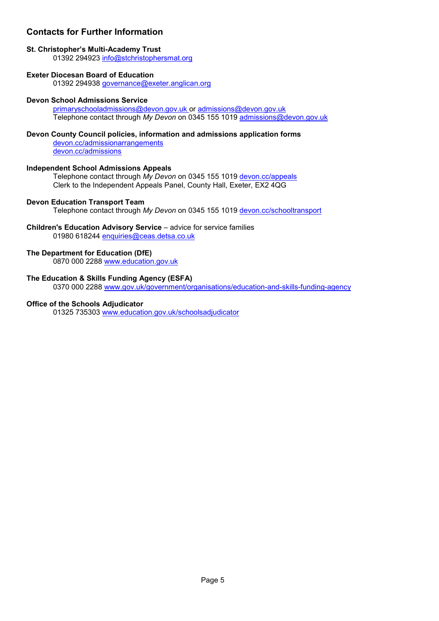# **Contacts for Further Information**

#### **St. Christopher's Multi-Academy Trust**

01392 294923 [info@stchristophersmat.org](mailto:info@stchristophersmat.org)

#### **Exeter Diocesan Board of Education**

01392 294938 [governance@exeter.anglican.org](mailto:governance@exeter.anglican.org)

#### **Devon School Admissions Service**

[primaryschooladmissions@devon.gov.uk](mailto:primaryschooladmissions@devon.gov.uk) or [admissions@devon.gov.uk](mailto:admissions@devon.gov.uk) Telephone contact through *My Devon* on 0345 155 1019 [admissions@devon.gov.uk](mailto:admissions@devon.gov.uk)

# **Devon County Council policies, information and admissions application forms**

[devon.cc/admissionarrangements](http://devon.cc/admissionarrangements) [devon.cc/admissions](http://devon.cc/admissions)

# **Independent School Admissions Appeals**

Telephone contact through *My Devon* on 0345 155 1019 [devon.cc/appeals](http://devon.cc/appeals) Clerk to the Independent Appeals Panel, County Hall, Exeter, EX2 4QG

# **Devon Education Transport Team**

Telephone contact through *My Devon* on 0345 155 1019 [devon.cc/schooltransport](http://devon.cc/schooltransport)

# **Children's Education Advisory Service** – advice for service families

01980 618244 [enquiries@ceas.detsa.co.uk](mailto:enquiries@ceas.detsa.co.uk)

# **The Department for Education (DfE)**

0870 000 2288 [www.education.gov.uk](http://www.education.gov.uk/)

# **The Education & Skills Funding Agency (ESFA)**

0370 000 2288 [www.gov.uk/government/organisations/education-and-skills-funding-agency](http://www.gov.uk/government/organisations/education-and-skills-funding-agency)

# **Office of the Schools Adjudicator**

01325 735303 [www.education.gov.uk/schoolsadjudicator](http://www.education.gov.uk/schoolsadjudicator)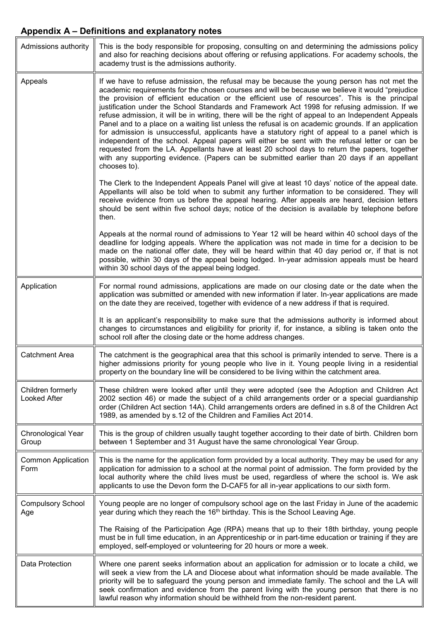# **Appendix A – Definitions and explanatory notes**

<span id="page-5-0"></span>

| Admissions authority              | This is the body responsible for proposing, consulting on and determining the admissions policy<br>and also for reaching decisions about offering or refusing applications. For academy schools, the<br>academy trust is the admissions authority.                                                                                                                                                                                                                                                                                                                                                                                                                                                                                                                                                                                                                                                                                                                                                                                   |
|-----------------------------------|--------------------------------------------------------------------------------------------------------------------------------------------------------------------------------------------------------------------------------------------------------------------------------------------------------------------------------------------------------------------------------------------------------------------------------------------------------------------------------------------------------------------------------------------------------------------------------------------------------------------------------------------------------------------------------------------------------------------------------------------------------------------------------------------------------------------------------------------------------------------------------------------------------------------------------------------------------------------------------------------------------------------------------------|
| Appeals                           | If we have to refuse admission, the refusal may be because the young person has not met the<br>academic requirements for the chosen courses and will be because we believe it would "prejudice<br>the provision of efficient education or the efficient use of resources". This is the principal<br>justification under the School Standards and Framework Act 1998 for refusing admission. If we<br>refuse admission, it will be in writing, there will be the right of appeal to an Independent Appeals<br>Panel and to a place on a waiting list unless the refusal is on academic grounds. If an application<br>for admission is unsuccessful, applicants have a statutory right of appeal to a panel which is<br>independent of the school. Appeal papers will either be sent with the refusal letter or can be<br>requested from the LA. Appellants have at least 20 school days to return the papers, together<br>with any supporting evidence. (Papers can be submitted earlier than 20 days if an appellant<br>chooses to). |
|                                   | The Clerk to the Independent Appeals Panel will give at least 10 days' notice of the appeal date.<br>Appellants will also be told when to submit any further information to be considered. They will<br>receive evidence from us before the appeal hearing. After appeals are heard, decision letters<br>should be sent within five school days; notice of the decision is available by telephone before<br>then.                                                                                                                                                                                                                                                                                                                                                                                                                                                                                                                                                                                                                    |
|                                   | Appeals at the normal round of admissions to Year 12 will be heard within 40 school days of the<br>deadline for lodging appeals. Where the application was not made in time for a decision to be<br>made on the national offer date, they will be heard within that 40 day period or, if that is not<br>possible, within 30 days of the appeal being lodged. In-year admission appeals must be heard<br>within 30 school days of the appeal being lodged.                                                                                                                                                                                                                                                                                                                                                                                                                                                                                                                                                                            |
| Application                       | For normal round admissions, applications are made on our closing date or the date when the<br>application was submitted or amended with new information if later. In-year applications are made<br>on the date they are received, together with evidence of a new address if that is required.                                                                                                                                                                                                                                                                                                                                                                                                                                                                                                                                                                                                                                                                                                                                      |
|                                   | It is an applicant's responsibility to make sure that the admissions authority is informed about<br>changes to circumstances and eligibility for priority if, for instance, a sibling is taken onto the<br>school roll after the closing date or the home address changes.                                                                                                                                                                                                                                                                                                                                                                                                                                                                                                                                                                                                                                                                                                                                                           |
| <b>Catchment Area</b>             | The catchment is the geographical area that this school is primarily intended to serve. There is a<br>higher admissions priority for young people who live in it. Young people living in a residential<br>property on the boundary line will be considered to be living within the catchment area.                                                                                                                                                                                                                                                                                                                                                                                                                                                                                                                                                                                                                                                                                                                                   |
| Children formerly<br>Looked After | These children were looked after until they were adopted (see the Adoption and Children Act<br>2002 section 46) or made the subject of a child arrangements order or a special guardianship<br>order (Children Act section 14A). Child arrangements orders are defined in s.8 of the Children Act<br>1989, as amended by s.12 of the Children and Families Act 2014.                                                                                                                                                                                                                                                                                                                                                                                                                                                                                                                                                                                                                                                                 |
| Chronological Year<br>Group       | This is the group of children usually taught together according to their date of birth. Children born<br>between 1 September and 31 August have the same chronological Year Group.                                                                                                                                                                                                                                                                                                                                                                                                                                                                                                                                                                                                                                                                                                                                                                                                                                                   |
| <b>Common Application</b><br>Form | This is the name for the application form provided by a local authority. They may be used for any<br>application for admission to a school at the normal point of admission. The form provided by the<br>local authority where the child lives must be used, regardless of where the school is. We ask<br>applicants to use the Devon form the D-CAF5 for all in-year applications to our sixth form.                                                                                                                                                                                                                                                                                                                                                                                                                                                                                                                                                                                                                                |
| <b>Compulsory School</b><br>Age   | Young people are no longer of compulsory school age on the last Friday in June of the academic<br>year during which they reach the 16 <sup>th</sup> birthday. This is the School Leaving Age.                                                                                                                                                                                                                                                                                                                                                                                                                                                                                                                                                                                                                                                                                                                                                                                                                                        |
|                                   | The Raising of the Participation Age (RPA) means that up to their 18th birthday, young people<br>must be in full time education, in an Apprenticeship or in part-time education or training if they are<br>employed, self-employed or volunteering for 20 hours or more a week.                                                                                                                                                                                                                                                                                                                                                                                                                                                                                                                                                                                                                                                                                                                                                      |
| Data Protection                   | Where one parent seeks information about an application for admission or to locate a child, we<br>will seek a view from the LA and Diocese about what information should be made available. The<br>priority will be to safeguard the young person and immediate family. The school and the LA will<br>seek confirmation and evidence from the parent living with the young person that there is no<br>lawful reason why information should be withheld from the non-resident parent.                                                                                                                                                                                                                                                                                                                                                                                                                                                                                                                                                 |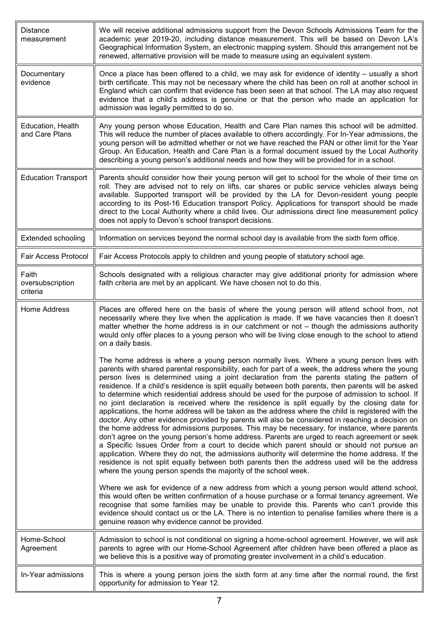<span id="page-6-0"></span>

| <b>Distance</b><br>measurement        | We will receive additional admissions support from the Devon Schools Admissions Team for the<br>academic year 2019-20, including distance measurement. This will be based on Devon LA's<br>Geographical Information System, an electronic mapping system. Should this arrangement not be<br>renewed, alternative provision will be made to measure using an equivalent system.                                                                                                                                                                                                                                                                                                                                                                                                                                                                                                                                                                                                                                                                                                                                                                                                                                                                                                                                                                                                           |
|---------------------------------------|------------------------------------------------------------------------------------------------------------------------------------------------------------------------------------------------------------------------------------------------------------------------------------------------------------------------------------------------------------------------------------------------------------------------------------------------------------------------------------------------------------------------------------------------------------------------------------------------------------------------------------------------------------------------------------------------------------------------------------------------------------------------------------------------------------------------------------------------------------------------------------------------------------------------------------------------------------------------------------------------------------------------------------------------------------------------------------------------------------------------------------------------------------------------------------------------------------------------------------------------------------------------------------------------------------------------------------------------------------------------------------------|
| Documentary<br>evidence               | Once a place has been offered to a child, we may ask for evidence of identity – usually a short<br>birth certificate. This may not be necessary where the child has been on roll at another school in<br>England which can confirm that evidence has been seen at that school. The LA may also request<br>evidence that a child's address is genuine or that the person who made an application for<br>admission was legally permitted to do so.                                                                                                                                                                                                                                                                                                                                                                                                                                                                                                                                                                                                                                                                                                                                                                                                                                                                                                                                         |
| Education, Health<br>and Care Plans   | Any young person whose Education, Health and Care Plan names this school will be admitted.<br>This will reduce the number of places available to others accordingly. For In-Year admissions, the<br>young person will be admitted whether or not we have reached the PAN or other limit for the Year<br>Group. An Education, Health and Care Plan is a formal document issued by the Local Authority<br>describing a young person's additional needs and how they will be provided for in a school.                                                                                                                                                                                                                                                                                                                                                                                                                                                                                                                                                                                                                                                                                                                                                                                                                                                                                      |
| <b>Education Transport</b>            | Parents should consider how their young person will get to school for the whole of their time on<br>roll. They are advised not to rely on lifts, car shares or public service vehicles always being<br>available. Supported transport will be provided by the LA for Devon-resident young people<br>according to its Post-16 Education transport Policy. Applications for transport should be made<br>direct to the Local Authority where a child lives. Our admissions direct line measurement policy<br>does not apply to Devon's school transport decisions.                                                                                                                                                                                                                                                                                                                                                                                                                                                                                                                                                                                                                                                                                                                                                                                                                          |
| <b>Extended schooling</b>             | Information on services beyond the normal school day is available from the sixth form office.                                                                                                                                                                                                                                                                                                                                                                                                                                                                                                                                                                                                                                                                                                                                                                                                                                                                                                                                                                                                                                                                                                                                                                                                                                                                                            |
| Fair Access Protocol                  | Fair Access Protocols apply to children and young people of statutory school age.                                                                                                                                                                                                                                                                                                                                                                                                                                                                                                                                                                                                                                                                                                                                                                                                                                                                                                                                                                                                                                                                                                                                                                                                                                                                                                        |
| Faith<br>oversubscription<br>criteria | Schools designated with a religious character may give additional priority for admission where<br>faith criteria are met by an applicant. We have chosen not to do this.                                                                                                                                                                                                                                                                                                                                                                                                                                                                                                                                                                                                                                                                                                                                                                                                                                                                                                                                                                                                                                                                                                                                                                                                                 |
| <b>Home Address</b>                   | Places are offered here on the basis of where the young person will attend school from, not<br>necessarily where they live when the application is made. If we have vacancies then it doesn't<br>matter whether the home address is in our catchment or not - though the admissions authority<br>would only offer places to a young person who will be living close enough to the school to attend<br>on a daily basis.                                                                                                                                                                                                                                                                                                                                                                                                                                                                                                                                                                                                                                                                                                                                                                                                                                                                                                                                                                  |
|                                       | The home address is where a young person normally lives. Where a young person lives with<br>parents with shared parental responsibility, each for part of a week, the address where the young<br>person lives is determined using a joint declaration from the parents stating the pattern of<br>residence. If a child's residence is split equally between both parents, then parents will be asked<br>to determine which residential address should be used for the purpose of admission to school. If<br>no joint declaration is received where the residence is split equally by the closing date for<br>applications, the home address will be taken as the address where the child is registered with the<br>doctor. Any other evidence provided by parents will also be considered in reaching a decision on<br>the home address for admissions purposes. This may be necessary, for instance, where parents<br>don't agree on the young person's home address. Parents are urged to reach agreement or seek<br>a Specific Issues Order from a court to decide which parent should or should not pursue an<br>application. Where they do not, the admissions authority will determine the home address. If the<br>residence is not split equally between both parents then the address used will be the address<br>where the young person spends the majority of the school week. |
|                                       | Where we ask for evidence of a new address from which a young person would attend school,<br>this would often be written confirmation of a house purchase or a formal tenancy agreement. We<br>recognise that some families may be unable to provide this. Parents who can't provide this<br>evidence should contact us or the LA. There is no intention to penalise families where there is a<br>genuine reason why evidence cannot be provided.                                                                                                                                                                                                                                                                                                                                                                                                                                                                                                                                                                                                                                                                                                                                                                                                                                                                                                                                        |
| Home-School<br>Agreement              | Admission to school is not conditional on signing a home-school agreement. However, we will ask<br>parents to agree with our Home-School Agreement after children have been offered a place as<br>we believe this is a positive way of promoting greater involvement in a child's education.                                                                                                                                                                                                                                                                                                                                                                                                                                                                                                                                                                                                                                                                                                                                                                                                                                                                                                                                                                                                                                                                                             |
| In-Year admissions                    | This is where a young person joins the sixth form at any time after the normal round, the first<br>opportunity for admission to Year 12.                                                                                                                                                                                                                                                                                                                                                                                                                                                                                                                                                                                                                                                                                                                                                                                                                                                                                                                                                                                                                                                                                                                                                                                                                                                 |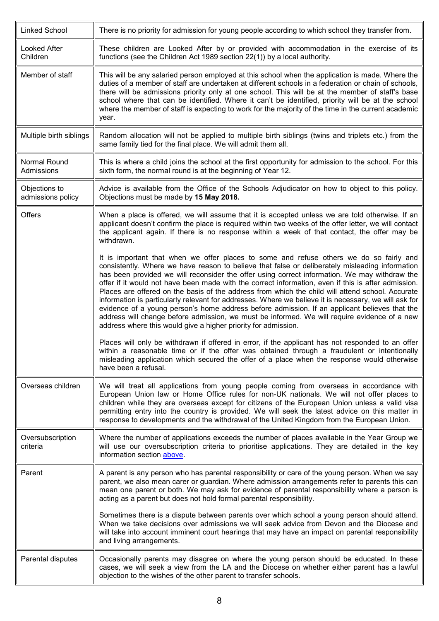<span id="page-7-0"></span>

| Linked School                      | There is no priority for admission for young people according to which school they transfer from.                                                                                                                                                                                                                                                                                                                                                                                                                                                                                                                                                                                                                                                                                                                                                                                  |
|------------------------------------|------------------------------------------------------------------------------------------------------------------------------------------------------------------------------------------------------------------------------------------------------------------------------------------------------------------------------------------------------------------------------------------------------------------------------------------------------------------------------------------------------------------------------------------------------------------------------------------------------------------------------------------------------------------------------------------------------------------------------------------------------------------------------------------------------------------------------------------------------------------------------------|
| Looked After<br>Children           | These children are Looked After by or provided with accommodation in the exercise of its<br>functions (see the Children Act 1989 section 22(1)) by a local authority.                                                                                                                                                                                                                                                                                                                                                                                                                                                                                                                                                                                                                                                                                                              |
| Member of staff                    | This will be any salaried person employed at this school when the application is made. Where the<br>duties of a member of staff are undertaken at different schools in a federation or chain of schools,<br>there will be admissions priority only at one school. This will be at the member of staff's base<br>school where that can be identified. Where it can't be identified, priority will be at the school<br>where the member of staff is expecting to work for the majority of the time in the current academic<br>year.                                                                                                                                                                                                                                                                                                                                                  |
| Multiple birth siblings            | Random allocation will not be applied to multiple birth siblings (twins and triplets etc.) from the<br>same family tied for the final place. We will admit them all.                                                                                                                                                                                                                                                                                                                                                                                                                                                                                                                                                                                                                                                                                                               |
| Normal Round<br>Admissions         | This is where a child joins the school at the first opportunity for admission to the school. For this<br>sixth form, the normal round is at the beginning of Year 12.                                                                                                                                                                                                                                                                                                                                                                                                                                                                                                                                                                                                                                                                                                              |
| Objections to<br>admissions policy | Advice is available from the Office of the Schools Adjudicator on how to object to this policy.<br>Objections must be made by 15 May 2018.                                                                                                                                                                                                                                                                                                                                                                                                                                                                                                                                                                                                                                                                                                                                         |
| Offers                             | When a place is offered, we will assume that it is accepted unless we are told otherwise. If an<br>applicant doesn't confirm the place is required within two weeks of the offer letter, we will contact<br>the applicant again. If there is no response within a week of that contact, the offer may be<br>withdrawn.                                                                                                                                                                                                                                                                                                                                                                                                                                                                                                                                                             |
|                                    | It is important that when we offer places to some and refuse others we do so fairly and<br>consistently. Where we have reason to believe that false or deliberately misleading information<br>has been provided we will reconsider the offer using correct information. We may withdraw the<br>offer if it would not have been made with the correct information, even if this is after admission.<br>Places are offered on the basis of the address from which the child will attend school. Accurate<br>information is particularly relevant for addresses. Where we believe it is necessary, we will ask for<br>evidence of a young person's home address before admission. If an applicant believes that the<br>address will change before admission, we must be informed. We will require evidence of a new<br>address where this would give a higher priority for admission. |
|                                    | Places will only be withdrawn if offered in error, if the applicant has not responded to an offer<br>within a reasonable time or if the offer was obtained through a fraudulent or intentionally<br>misleading application which secured the offer of a place when the response would otherwise<br>have been a refusal.                                                                                                                                                                                                                                                                                                                                                                                                                                                                                                                                                            |
| Overseas children                  | We will treat all applications from young people coming from overseas in accordance with<br>European Union law or Home Office rules for non-UK nationals. We will not offer places to<br>children while they are overseas except for citizens of the European Union unless a valid visa<br>permitting entry into the country is provided. We will seek the latest advice on this matter in<br>response to developments and the withdrawal of the United Kingdom from the European Union.                                                                                                                                                                                                                                                                                                                                                                                           |
| Oversubscription<br>criteria       | Where the number of applications exceeds the number of places available in the Year Group we<br>will use our oversubscription criteria to prioritise applications. They are detailed in the key<br>information section above.                                                                                                                                                                                                                                                                                                                                                                                                                                                                                                                                                                                                                                                      |
| Parent                             | A parent is any person who has parental responsibility or care of the young person. When we say<br>parent, we also mean carer or guardian. Where admission arrangements refer to parents this can<br>mean one parent or both. We may ask for evidence of parental responsibility where a person is<br>acting as a parent but does not hold formal parental responsibility.                                                                                                                                                                                                                                                                                                                                                                                                                                                                                                         |
|                                    | Sometimes there is a dispute between parents over which school a young person should attend.<br>When we take decisions over admissions we will seek advice from Devon and the Diocese and<br>will take into account imminent court hearings that may have an impact on parental responsibility<br>and living arrangements.                                                                                                                                                                                                                                                                                                                                                                                                                                                                                                                                                         |
| Parental disputes                  | Occasionally parents may disagree on where the young person should be educated. In these<br>cases, we will seek a view from the LA and the Diocese on whether either parent has a lawful<br>objection to the wishes of the other parent to transfer schools.                                                                                                                                                                                                                                                                                                                                                                                                                                                                                                                                                                                                                       |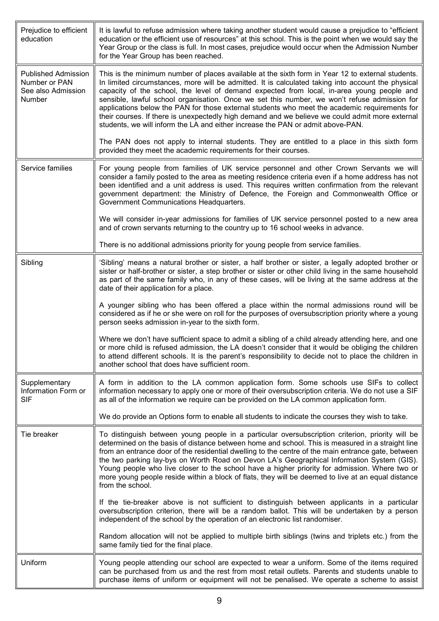<span id="page-8-2"></span><span id="page-8-1"></span><span id="page-8-0"></span>

| Prejudice to efficient<br>education                                         | It is lawful to refuse admission where taking another student would cause a prejudice to "efficient"<br>education or the efficient use of resources" at this school. This is the point when we would say the<br>Year Group or the class is full. In most cases, prejudice would occur when the Admission Number<br>for the Year Group has been reached.                                                                                                                                                                                                                                                                                                                                     |
|-----------------------------------------------------------------------------|---------------------------------------------------------------------------------------------------------------------------------------------------------------------------------------------------------------------------------------------------------------------------------------------------------------------------------------------------------------------------------------------------------------------------------------------------------------------------------------------------------------------------------------------------------------------------------------------------------------------------------------------------------------------------------------------|
| <b>Published Admission</b><br>Number or PAN<br>See also Admission<br>Number | This is the minimum number of places available at the sixth form in Year 12 to external students.<br>In limited circumstances, more will be admitted. It is calculated taking into account the physical<br>capacity of the school, the level of demand expected from local, in-area young people and<br>sensible, lawful school organisation. Once we set this number, we won't refuse admission for<br>applications below the PAN for those external students who meet the academic requirements for<br>their courses. If there is unexpectedly high demand and we believe we could admit more external<br>students, we will inform the LA and either increase the PAN or admit above-PAN. |
|                                                                             | The PAN does not apply to internal students. They are entitled to a place in this sixth form<br>provided they meet the academic requirements for their courses.                                                                                                                                                                                                                                                                                                                                                                                                                                                                                                                             |
| Service families                                                            | For young people from families of UK service personnel and other Crown Servants we will<br>consider a family posted to the area as meeting residence criteria even if a home address has not<br>been identified and a unit address is used. This requires written confirmation from the relevant<br>government department: the Ministry of Defence, the Foreign and Commonwealth Office or<br>Government Communications Headquarters.                                                                                                                                                                                                                                                       |
|                                                                             | We will consider in-year admissions for families of UK service personnel posted to a new area<br>and of crown servants returning to the country up to 16 school weeks in advance.                                                                                                                                                                                                                                                                                                                                                                                                                                                                                                           |
|                                                                             | There is no additional admissions priority for young people from service families.                                                                                                                                                                                                                                                                                                                                                                                                                                                                                                                                                                                                          |
| Sibling                                                                     | 'Sibling' means a natural brother or sister, a half brother or sister, a legally adopted brother or<br>sister or half-brother or sister, a step brother or sister or other child living in the same household<br>as part of the same family who, in any of these cases, will be living at the same address at the<br>date of their application for a place.                                                                                                                                                                                                                                                                                                                                 |
|                                                                             | A younger sibling who has been offered a place within the normal admissions round will be<br>considered as if he or she were on roll for the purposes of oversubscription priority where a young<br>person seeks admission in-year to the sixth form.                                                                                                                                                                                                                                                                                                                                                                                                                                       |
|                                                                             | Where we don't have sufficient space to admit a sibling of a child already attending here, and one<br>or more child is refused admission, the LA doesn't consider that it would be obliging the children<br>to attend different schools. It is the parent's responsibility to decide not to place the children in<br>another school that does have sufficient room.                                                                                                                                                                                                                                                                                                                         |
| Supplementary<br>Information Form or<br><b>SIF</b>                          | A form in addition to the LA common application form. Some schools use SIFs to collect<br>information necessary to apply one or more of their oversubscription criteria. We do not use a SIF<br>as all of the information we require can be provided on the LA common application form.                                                                                                                                                                                                                                                                                                                                                                                                     |
|                                                                             | We do provide an Options form to enable all students to indicate the courses they wish to take.                                                                                                                                                                                                                                                                                                                                                                                                                                                                                                                                                                                             |
| Tie breaker                                                                 | To distinguish between young people in a particular oversubscription criterion, priority will be<br>determined on the basis of distance between home and school. This is measured in a straight line<br>from an entrance door of the residential dwelling to the centre of the main entrance gate, between<br>the two parking lay-bys on Worth Road on Devon LA's Geographical Information System (GIS).<br>Young people who live closer to the school have a higher priority for admission. Where two or<br>more young people reside within a block of flats, they will be deemed to live at an equal distance<br>from the school.                                                         |
|                                                                             | If the tie-breaker above is not sufficient to distinguish between applicants in a particular<br>oversubscription criterion, there will be a random ballot. This will be undertaken by a person<br>independent of the school by the operation of an electronic list randomiser.                                                                                                                                                                                                                                                                                                                                                                                                              |
|                                                                             | Random allocation will not be applied to multiple birth siblings (twins and triplets etc.) from the<br>same family tied for the final place.                                                                                                                                                                                                                                                                                                                                                                                                                                                                                                                                                |
| Uniform                                                                     | Young people attending our school are expected to wear a uniform. Some of the items required<br>can be purchased from us and the rest from most retail outlets. Parents and students unable to<br>purchase items of uniform or equipment will not be penalised. We operate a scheme to assist                                                                                                                                                                                                                                                                                                                                                                                               |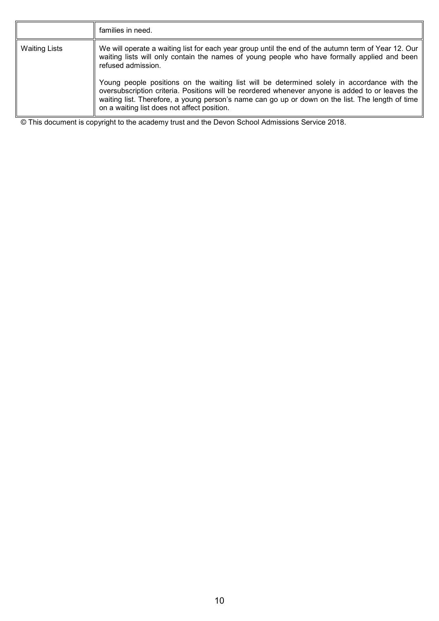|                      | families in need.                                                                                                                                                                                                                                                                                                                                                                                                                                                                                                                                                               |
|----------------------|---------------------------------------------------------------------------------------------------------------------------------------------------------------------------------------------------------------------------------------------------------------------------------------------------------------------------------------------------------------------------------------------------------------------------------------------------------------------------------------------------------------------------------------------------------------------------------|
| <b>Waiting Lists</b> | We will operate a waiting list for each year group until the end of the autumn term of Year 12. Our<br>waiting lists will only contain the names of young people who have formally applied and been<br>refused admission.<br>Young people positions on the waiting list will be determined solely in accordance with the<br>oversubscription criteria. Positions will be reordered whenever anyone is added to or leaves the<br>waiting list. Therefore, a young person's name can go up or down on the list. The length of time<br>on a waiting list does not affect position. |

© This document is copyright to the academy trust and the Devon School Admissions Service 2018.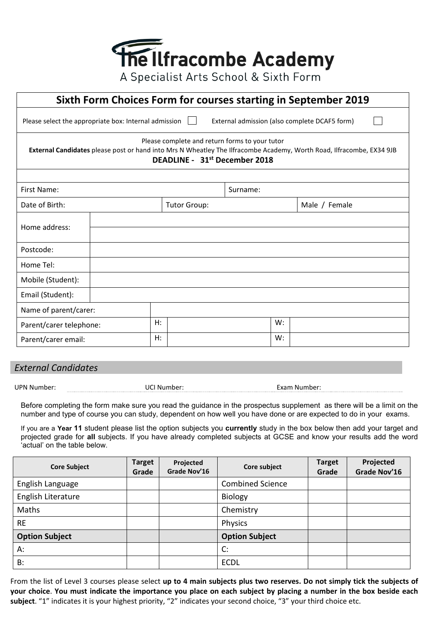

<span id="page-10-0"></span>**Sixth Form Choices Form for courses starting in September 2019** Please select the appropriate box: Internal admission  $\Box$  External admission (also complete DCAF5 form)  $\Box$ Please complete and return forms to your tutor **External Candidates** please post or hand into Mrs N Wheatley The Ilfracombe Academy, Worth Road, Ilfracombe, EX34 9JB **DEADLINE - 31st December 2018** First Name: Surname: Surname: Surname: Surname: Surname: Surname: Surname: Surname: Surname: Surname: Surname: Surname: Surname: Surname: Surname: Surname: Surname: Surname: Surname: Surname: Surname: Surname: Surname: Sur Date of Birth: Tutor Group: Tutor Group: Male / Female Home address: Postcode: Home Tel: Mobile (Student): Email (Student): Name of parent/carer: Parent/carer telephone:  $\vert H: \vert$  H:  $\vert$  W: Parent/carer email:  $\vert H: \vert$ 

#### *External Candidates*

| UPN<br>. Number: | UCI<br>.mber<br>™Nu. | Exam<br>Number: |
|------------------|----------------------|-----------------|
|                  |                      |                 |

Before completing the form make sure you read the guidance in the prospectus supplement as there will be a limit on the number and type of course you can study, dependent on how well you have done or are expected to do in your exams.

If you are a **Year 11** student please list the option subjects you **currently** study in the box below then add your target and projected grade for **all** subjects. If you have already completed subjects at GCSE and know your results add the word 'actual' on the table below.

| <b>Core Subject</b>   | <b>Target</b><br>Grade | Projected<br>Grade Nov'16 | Core subject            | <b>Target</b><br>Grade | Projected<br>Grade Nov'16 |
|-----------------------|------------------------|---------------------------|-------------------------|------------------------|---------------------------|
| English Language      |                        |                           | <b>Combined Science</b> |                        |                           |
| English Literature    |                        |                           | Biology                 |                        |                           |
| Maths                 |                        |                           | Chemistry               |                        |                           |
| <b>RE</b>             |                        |                           | Physics                 |                        |                           |
| <b>Option Subject</b> |                        |                           | <b>Option Subject</b>   |                        |                           |
| A:                    |                        |                           | C:                      |                        |                           |
| <b>B:</b>             |                        |                           | <b>ECDL</b>             |                        |                           |

From the list of Level 3 courses please select **up to 4 main subjects plus two reserves. Do not simply tick the subjects of your choice**. **You must indicate the importance you place on each subject by placing a number in the box beside each subject**. "1" indicates it is your highest priority, "2" indicates your second choice, "3" your third choice etc.